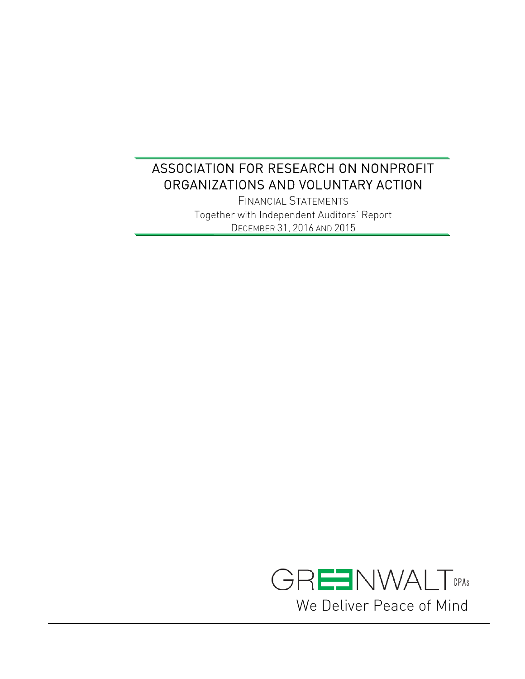FINANCIAL STATEMENTS Together with Independent Auditors' Report DECEMBER 31, 2016 AND 2015

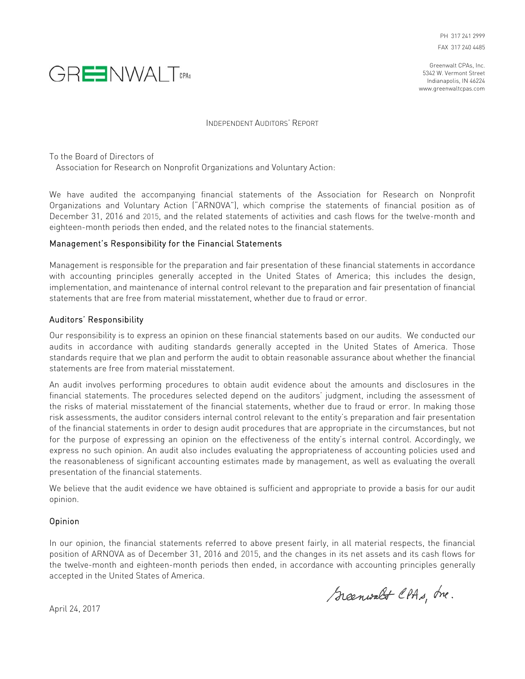PH 317 241 2999 FAX 317 240 4485

Greenwalt CPAs, Inc. 5342 W. Vermont Street Indianapolis, IN 46224 www.greenwaltcpas.com



INDEPENDENT AUDITORS' REPORT

To the Board of Directors of

Association for Research on Nonprofit Organizations and Voluntary Action:

We have audited the accompanying financial statements of the Association for Research on Nonprofit Organizations and Voluntary Action ("ARNOVA"), which comprise the statements of financial position as of December 31, 2016 and 2015, and the related statements of activities and cash flows for the twelve-month and eighteen-month periods then ended, and the related notes to the financial statements.

### Management's Responsibility for the Financial Statements

Management is responsible for the preparation and fair presentation of these financial statements in accordance with accounting principles generally accepted in the United States of America; this includes the design, implementation, and maintenance of internal control relevant to the preparation and fair presentation of financial statements that are free from material misstatement, whether due to fraud or error.

### Auditors' Responsibility

Our responsibility is to express an opinion on these financial statements based on our audits. We conducted our audits in accordance with auditing standards generally accepted in the United States of America. Those standards require that we plan and perform the audit to obtain reasonable assurance about whether the financial statements are free from material misstatement.

An audit involves performing procedures to obtain audit evidence about the amounts and disclosures in the financial statements. The procedures selected depend on the auditors' judgment, including the assessment of the risks of material misstatement of the financial statements, whether due to fraud or error. In making those risk assessments, the auditor considers internal control relevant to the entity's preparation and fair presentation of the financial statements in order to design audit procedures that are appropriate in the circumstances, but not for the purpose of expressing an opinion on the effectiveness of the entity's internal control. Accordingly, we express no such opinion. An audit also includes evaluating the appropriateness of accounting policies used and the reasonableness of significant accounting estimates made by management, as well as evaluating the overall presentation of the financial statements.

We believe that the audit evidence we have obtained is sufficient and appropriate to provide a basis for our audit opinion.

### Opinion

In our opinion, the financial statements referred to above present fairly, in all material respects, the financial position of ARNOVA as of December 31, 2016 and 2015, and the changes in its net assets and its cash flows for the twelve-month and eighteen-month periods then ended, in accordance with accounting principles generally accepted in the United States of America.

Greenwalt CPAs, Inc.

April 24, 2017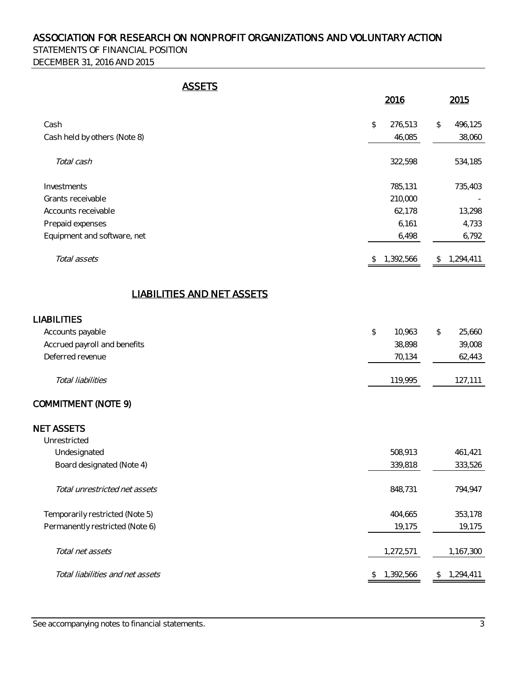STATEMENTS OF FINANCIAL POSITION DECEMBER 31, 2016 AND 2015

## **ASSETS**

|                                   | 2016            | 2015            |
|-----------------------------------|-----------------|-----------------|
| Cash                              | \$<br>276,513   | 496,125<br>\$   |
| Cash held by others (Note 8)      | 46,085          | 38,060          |
|                                   |                 |                 |
| Total cash                        | 322,598         | 534,185         |
| Investments                       | 785,131         | 735,403         |
| Grants receivable                 | 210,000         |                 |
| Accounts receivable               | 62,178          | 13,298          |
| Prepaid expenses                  | 6,161           | 4,733           |
| Equipment and software, net       | 6,498           | 6,792           |
| Total assets                      | 1,392,566<br>\$ | 1,294,411<br>\$ |
| <b>LIABILITIES AND NET ASSETS</b> |                 |                 |
| <b>LIABILITIES</b>                |                 |                 |
| Accounts payable                  | \$<br>10,963    | 25,660<br>\$    |
| Accrued payroll and benefits      | 38,898          | 39,008          |
| Deferred revenue                  | 70,134          | 62,443          |
| Total liabilities                 | 119,995         | 127,111         |
| <b>COMMITMENT (NOTE 9)</b>        |                 |                 |
| <b>NET ASSETS</b>                 |                 |                 |
| Unrestricted                      |                 |                 |
| Undesignated                      | 508,913         | 461,421         |
| Board designated (Note 4)         | 339,818         | 333,526         |
| Total unrestricted net assets     | 848,731         | 794,947         |
| Temporarily restricted (Note 5)   | 404,665         | 353,178         |
| Permanently restricted (Note 6)   | 19,175          | 19,175          |
| Total net assets                  | 1,272,571       | 1,167,300       |
| Total liabilities and net assets  | 1,392,566<br>\$ | \$1,294,411     |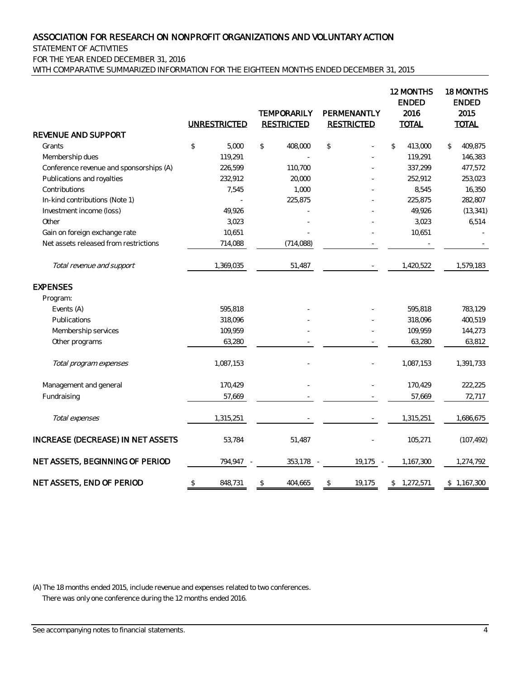STATEMENT OF ACTIVITIES FOR THE YEAR ENDED DECEMBER 31, 2016 WITH COMPARATIVE SUMMARIZED INFORMATION FOR THE EIGHTEEN MONTHS ENDED DECEMBER 31, 2015

|                                         |                                               | <b>UNRESTRICTED</b> | <b>TEMPORARILY</b><br><b>RESTRICTED</b> | PERMENANTLY<br><b>RESTRICTED</b> | 12 MONTHS<br><b>ENDED</b><br>2016<br><b>TOTAL</b> | 18 MONTHS<br><b>ENDED</b><br>2015<br><b>TOTAL</b> |
|-----------------------------------------|-----------------------------------------------|---------------------|-----------------------------------------|----------------------------------|---------------------------------------------------|---------------------------------------------------|
| REVENUE AND SUPPORT                     |                                               |                     |                                         |                                  |                                                   |                                                   |
| Grants                                  | $\, \, \raisebox{-1.5pt}{\ensuremath{\circ}}$ | 5,000               | \$<br>408,000                           | \$                               | \$<br>413,000                                     | \$<br>409,875                                     |
| Membership dues                         |                                               | 119,291             |                                         |                                  | 119,291                                           | 146,383                                           |
| Conference revenue and sponsorships (A) |                                               | 226,599             | 110,700                                 |                                  | 337,299                                           | 477,572                                           |
| Publications and royalties              |                                               | 232,912             | 20,000                                  |                                  | 252,912                                           | 253,023                                           |
| Contributions                           |                                               | 7,545               | 1,000                                   |                                  | 8,545                                             | 16,350                                            |
| In-kind contributions (Note 1)          |                                               |                     | 225,875                                 |                                  | 225,875                                           | 282,807                                           |
| Investment income (loss)                |                                               | 49,926              |                                         |                                  | 49,926                                            | (13, 341)                                         |
| Other                                   |                                               | 3,023               |                                         |                                  | 3,023                                             | 6,514                                             |
| Gain on foreign exchange rate           |                                               | 10,651              |                                         |                                  | 10,651                                            |                                                   |
| Net assets released from restrictions   |                                               | 714,088             | (714, 088)                              |                                  |                                                   |                                                   |
| Total revenue and support               |                                               | 1,369,035           | 51,487                                  |                                  | 1,420,522                                         | 1,579,183                                         |
| <b>EXPENSES</b>                         |                                               |                     |                                         |                                  |                                                   |                                                   |
| Program:                                |                                               |                     |                                         |                                  |                                                   |                                                   |
| Events (A)                              |                                               | 595,818             |                                         |                                  | 595,818                                           | 783,129                                           |
| Publications                            |                                               | 318,096             |                                         |                                  | 318,096                                           | 400,519                                           |
| Membership services                     |                                               | 109,959             |                                         |                                  | 109,959                                           | 144,273                                           |
| Other programs                          |                                               | 63,280              |                                         |                                  | 63,280                                            | 63,812                                            |
| Total program expenses                  |                                               | 1,087,153           |                                         |                                  | 1,087,153                                         | 1,391,733                                         |
| Management and general                  |                                               | 170,429             |                                         |                                  | 170,429                                           | 222,225                                           |
| Fundraising                             |                                               | 57,669              |                                         |                                  | 57,669                                            | 72,717                                            |
| Total expenses                          |                                               | 1,315,251           |                                         |                                  | 1,315,251                                         | 1,686,675                                         |
| INCREASE (DECREASE) IN NET ASSETS       |                                               | 53,784              | 51,487                                  |                                  | 105,271                                           | (107, 492)                                        |
| NET ASSETS, BEGINNING OF PERIOD         |                                               | 794,947             | 353,178                                 | 19,175                           | 1,167,300                                         | 1,274,792                                         |
| NET ASSETS, END OF PERIOD               | \$                                            | 848,731             | \$<br>404,665                           | \$<br>19,175                     | \$<br>1,272,571                                   | \$1,167,300                                       |

(A) The 18 months ended 2015, include revenue and expenses related to two conferences.

There was only one conference during the 12 months ended 2016.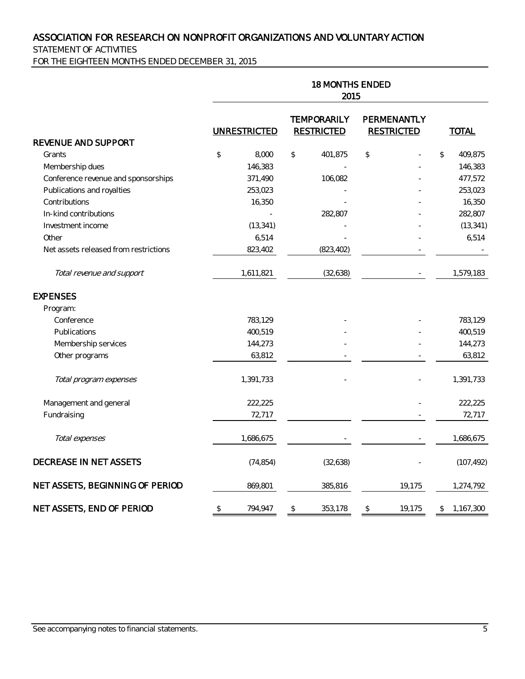STATEMENT OF ACTIVITIES

FOR THE EIGHTEEN MONTHS ENDED DECEMBER 31, 2015

|                                       | <b>18 MONTHS ENDED</b><br>2015 |                     |    |                                         |    |                                  |               |              |
|---------------------------------------|--------------------------------|---------------------|----|-----------------------------------------|----|----------------------------------|---------------|--------------|
|                                       |                                | <b>UNRESTRICTED</b> |    | <b>TEMPORARILY</b><br><b>RESTRICTED</b> |    | PERMENANTLY<br><b>RESTRICTED</b> |               | <b>TOTAL</b> |
| REVENUE AND SUPPORT                   |                                |                     |    |                                         |    |                                  |               |              |
| Grants                                | \$                             | 8,000               | \$ | 401,875                                 | \$ |                                  | $\mathcal{L}$ | 409,875      |
| Membership dues                       |                                | 146,383             |    |                                         |    |                                  |               | 146,383      |
| Conference revenue and sponsorships   |                                | 371,490             |    | 106,082                                 |    |                                  |               | 477,572      |
| Publications and royalties            |                                | 253,023             |    |                                         |    |                                  |               | 253,023      |
| Contributions                         |                                | 16,350              |    |                                         |    |                                  |               | 16,350       |
| In-kind contributions                 |                                |                     |    | 282,807                                 |    |                                  |               | 282,807      |
| Investment income                     |                                | (13, 341)           |    |                                         |    |                                  |               | (13, 341)    |
| Other                                 |                                | 6,514               |    |                                         |    |                                  |               | 6,514        |
| Net assets released from restrictions |                                | 823,402             |    | (823, 402)                              |    |                                  |               |              |
| Total revenue and support             |                                | 1,611,821           |    | (32, 638)                               |    |                                  |               | 1,579,183    |
| <b>EXPENSES</b>                       |                                |                     |    |                                         |    |                                  |               |              |
| Program:                              |                                |                     |    |                                         |    |                                  |               |              |
| Conference                            |                                | 783,129             |    |                                         |    |                                  |               | 783,129      |
| Publications                          |                                | 400,519             |    |                                         |    |                                  |               | 400,519      |
| Membership services                   |                                | 144,273             |    |                                         |    |                                  |               | 144,273      |
| Other programs                        |                                | 63,812              |    |                                         |    |                                  |               | 63,812       |
| Total program expenses                |                                | 1,391,733           |    |                                         |    |                                  |               | 1,391,733    |
| Management and general                |                                | 222,225             |    |                                         |    |                                  |               | 222,225      |
| Fundraising                           |                                | 72,717              |    |                                         |    |                                  |               | 72,717       |
| Total expenses                        |                                | 1,686,675           |    |                                         |    |                                  |               | 1,686,675    |
| DECREASE IN NET ASSETS                |                                | (74, 854)           |    | (32, 638)                               |    |                                  |               | (107, 492)   |
| NET ASSETS, BEGINNING OF PERIOD       |                                | 869,801             |    | 385,816                                 |    | 19,175                           |               | 1,274,792    |
| NET ASSETS, END OF PERIOD             | \$                             | 794,947             | \$ | 353,178                                 | \$ | 19,175                           | \$            | 1,167,300    |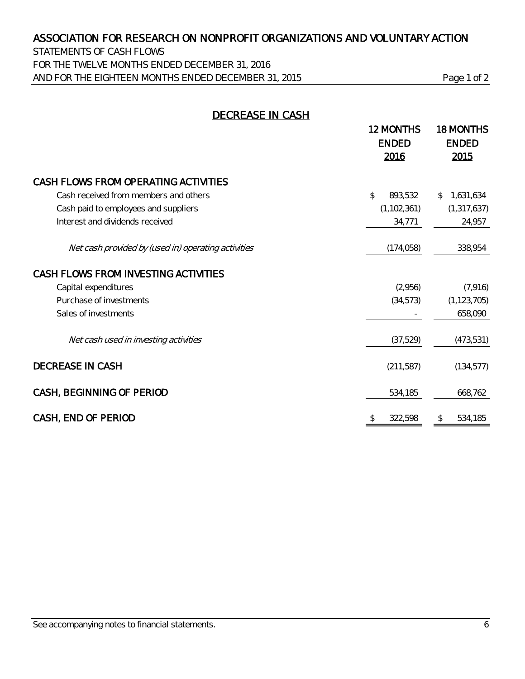STATEMENTS OF CASH FLOWS FOR THE TWELVE MONTHS ENDED DECEMBER 31, 2016 AND FOR THE EIGHTEEN MONTHS ENDED DECEMBER 31, 2015 Page 1 of 2

| <b>DECREASE IN CASH</b>                             |                                          |                                          |
|-----------------------------------------------------|------------------------------------------|------------------------------------------|
|                                                     | <b>12 MONTHS</b><br><b>ENDED</b><br>2016 | <b>18 MONTHS</b><br><b>ENDED</b><br>2015 |
| CASH FLOWS FROM OPERATING ACTIVITIES                |                                          |                                          |
| Cash received from members and others               | \$<br>893,532                            | 1,631,634<br>$\mathbb{S}$                |
| Cash paid to employees and suppliers                | (1, 102, 361)                            | (1, 317, 637)                            |
| Interest and dividends received                     | 34,771                                   | 24,957                                   |
| Net cash provided by (used in) operating activities | (174, 058)                               | 338,954                                  |
| CASH FLOWS FROM INVESTING ACTIVITIES                |                                          |                                          |
| Capital expenditures                                | (2,956)                                  | (7, 916)                                 |
| Purchase of investments                             | (34, 573)                                | (1, 123, 705)                            |
| Sales of investments                                |                                          | 658,090                                  |
| Net cash used in investing activities               | (37, 529)                                | (473, 531)                               |
| <b>DECREASE IN CASH</b>                             | (211, 587)                               | (134, 577)                               |
| CASH, BEGINNING OF PERIOD                           | 534,185                                  | 668,762                                  |
| CASH, END OF PERIOD                                 | 322,598                                  | 534,185<br>\$                            |

### See accompanying notes to financial statements. 6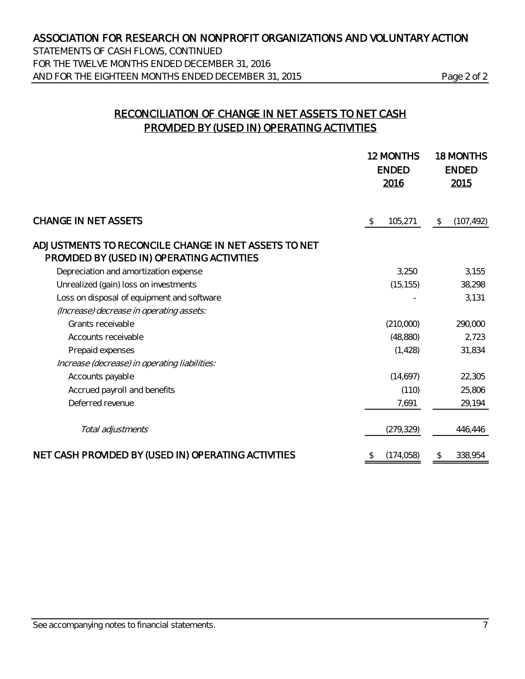## RECONCILIATION OF CHANGE IN NET ASSETS TO NET CASH PROVIDED BY (USED IN) OPERATING ACTIVITIES

|                                                                                                    |    | <b>12 MONTHS</b><br><b>ENDED</b><br>2016 |               | <b>18 MONTHS</b><br><b>ENDED</b><br>2015 |
|----------------------------------------------------------------------------------------------------|----|------------------------------------------|---------------|------------------------------------------|
| <b>CHANGE IN NET ASSETS</b>                                                                        | \$ | 105,271                                  | $\frac{1}{2}$ | (107, 492)                               |
| ADJUSTMENTS TO RECONCILE CHANGE IN NET ASSETS TO NET<br>PROVIDED BY (USED IN) OPERATING ACTIVITIES |    |                                          |               |                                          |
| Depreciation and amortization expense                                                              |    | 3,250                                    |               | 3,155                                    |
| Unrealized (gain) loss on investments                                                              |    | (15, 155)                                |               | 38,298                                   |
| Loss on disposal of equipment and software                                                         |    |                                          |               | 3,131                                    |
| (Increase) decrease in operating assets:                                                           |    |                                          |               |                                          |
| Grants receivable                                                                                  |    | (210,000)                                |               | 290,000                                  |
| Accounts receivable                                                                                |    | (48, 880)                                |               | 2,723                                    |
| Prepaid expenses                                                                                   |    | (1, 428)                                 |               | 31,834                                   |
| Increase (decrease) in operating liabilities:                                                      |    |                                          |               |                                          |
| Accounts payable                                                                                   |    | (14,697)                                 |               | 22,305                                   |
| Accrued payroll and benefits                                                                       |    | (110)                                    |               | 25,806                                   |
| Deferred revenue                                                                                   |    | 7,691                                    |               | 29,194                                   |
| Total adjustments                                                                                  |    | (279, 329)                               |               | 446,446                                  |
| NET CASH PROVIDED BY (USED IN) OPERATING ACTIVITIES                                                | \$ | (174, 058)                               | \$            | 338,954                                  |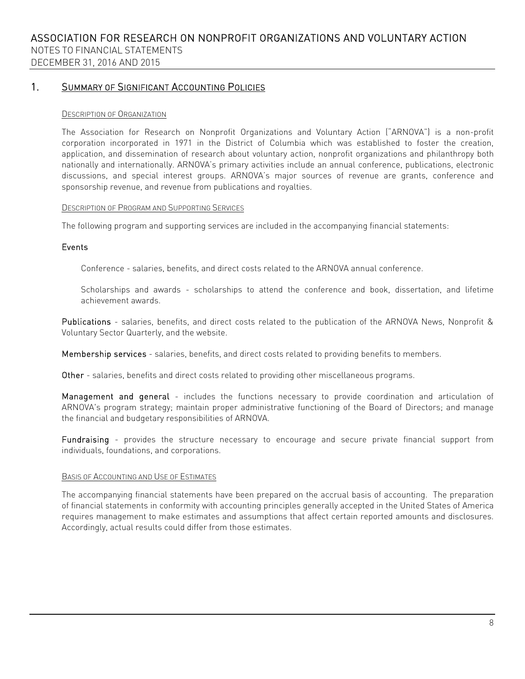### 1. SUMMARY OF SIGNIFICANT ACCOUNTING POLICIES

#### DESCRIPTION OF ORGANIZATION

The Association for Research on Nonprofit Organizations and Voluntary Action ("ARNOVA") is a non-profit corporation incorporated in 1971 in the District of Columbia which was established to foster the creation, application, and dissemination of research about voluntary action, nonprofit organizations and philanthropy both nationally and internationally. ARNOVA's primary activities include an annual conference, publications, electronic discussions, and special interest groups. ARNOVA's major sources of revenue are grants, conference and sponsorship revenue, and revenue from publications and royalties.

#### DESCRIPTION OF PROGRAM AND SUPPORTING SERVICES

The following program and supporting services are included in the accompanying financial statements:

#### Events

Conference - salaries, benefits, and direct costs related to the ARNOVA annual conference.

Scholarships and awards - scholarships to attend the conference and book, dissertation, and lifetime achievement awards.

Publications - salaries, benefits, and direct costs related to the publication of the ARNOVA News, Nonprofit & Voluntary Sector Quarterly, and the website.

Membership services - salaries, benefits, and direct costs related to providing benefits to members.

Other - salaries, benefits and direct costs related to providing other miscellaneous programs.

Management and general - includes the functions necessary to provide coordination and articulation of ARNOVA's program strategy; maintain proper administrative functioning of the Board of Directors; and manage the financial and budgetary responsibilities of ARNOVA.

Fundraising - provides the structure necessary to encourage and secure private financial support from individuals, foundations, and corporations.

#### BASIS OF ACCOUNTING AND USE OF ESTIMATES

The accompanying financial statements have been prepared on the accrual basis of accounting. The preparation of financial statements in conformity with accounting principles generally accepted in the United States of America requires management to make estimates and assumptions that affect certain reported amounts and disclosures. Accordingly, actual results could differ from those estimates.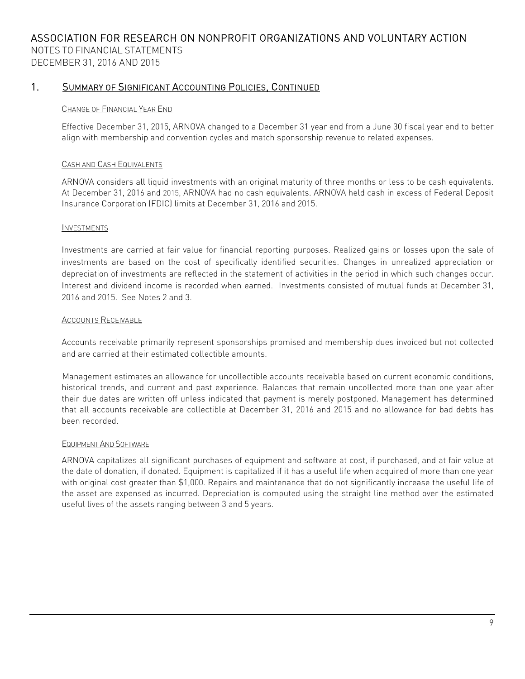#### CHANGE OF FINANCIAL YEAR END

Effective December 31, 2015, ARNOVA changed to a December 31 year end from a June 30 fiscal year end to better align with membership and convention cycles and match sponsorship revenue to related expenses.

#### CASH AND CASH EQUIVALENTS

ARNOVA considers all liquid investments with an original maturity of three months or less to be cash equivalents. At December 31, 2016 and 2015, ARNOVA had no cash equivalents. ARNOVA held cash in excess of Federal Deposit Insurance Corporation (FDIC) limits at December 31, 2016 and 2015.

#### INVESTMENTS

Investments are carried at fair value for financial reporting purposes. Realized gains or losses upon the sale of investments are based on the cost of specifically identified securities. Changes in unrealized appreciation or depreciation of investments are reflected in the statement of activities in the period in which such changes occur. Interest and dividend income is recorded when earned. Investments consisted of mutual funds at December 31, 2016 and 2015. See Notes 2 and 3.

#### ACCOUNTS RECEIVABLE

Accounts receivable primarily represent sponsorships promised and membership dues invoiced but not collected and are carried at their estimated collectible amounts.

Management estimates an allowance for uncollectible accounts receivable based on current economic conditions, historical trends, and current and past experience. Balances that remain uncollected more than one year after their due dates are written off unless indicated that payment is merely postponed. Management has determined that all accounts receivable are collectible at December 31, 2016 and 2015 and no allowance for bad debts has been recorded.

#### EQUIPMENT AND SOFTWARE

ARNOVA capitalizes all significant purchases of equipment and software at cost, if purchased, and at fair value at the date of donation, if donated. Equipment is capitalized if it has a useful life when acquired of more than one year with original cost greater than \$1,000. Repairs and maintenance that do not significantly increase the useful life of the asset are expensed as incurred. Depreciation is computed using the straight line method over the estimated useful lives of the assets ranging between 3 and 5 years.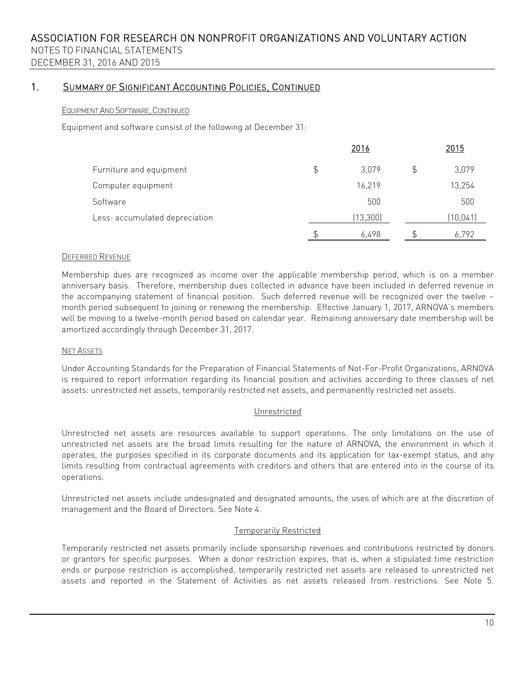### EQUIPMENT AND SOFTWARE, CONTINUED

Equipment and software consist of the following at December 31:

|                                | 2016        | 2015      |
|--------------------------------|-------------|-----------|
| Furniture and equipment        | \$<br>3,079 | 3,079     |
| Computer equipment             | 16,219      | 13,254    |
| Software                       | 500         | 500       |
| Less: accumulated depreciation | (13, 300)   | (10, 041) |
|                                | \$<br>6.498 | 6,792     |

### DEFERRED REVENUE

Membership dues are recognized as income over the applicable membership period, which is on a member anniversary basis. Therefore, membership dues collected in advance have been included in deferred revenue in the accompanying statement of financial position. Such deferred revenue will be recognized over the twelve – month period subsequent to joining or renewing the membership. Effective January 1, 2017, ARNOVA's members will be moving to a twelve-month period based on calendar year. Remaining anniversary date membership will be amortized accordingly through December 31, 2017.

### NET ASSETS

Under Accounting Standards for the Preparation of Financial Statements of Not-For-Profit Organizations, ARNOVA is required to report information regarding its financial position and activities according to three classes of net assets: unrestricted net assets, temporarily restricted net assets, and permanently restricted net assets.

#### Unrestricted

Unrestricted net assets are resources available to support operations. The only limitations on the use of unrestricted net assets are the broad limits resulting for the nature of ARNOVA, the environment in which it operates, the purposes specified in its corporate documents and its application for tax-exempt status, and any limits resulting from contractual agreements with creditors and others that are entered into in the course of its operations.

Unrestricted net assets include undesignated and designated amounts, the uses of which are at the discretion of management and the Board of Directors. See Note 4.

### Temporarily Restricted

Temporarily restricted net assets primarily include sponsorship revenues and contributions restricted by donors or grantors for specific purposes. When a donor restriction expires, that is, when a stipulated time restriction ends or purpose restriction is accomplished, temporarily restricted net assets are released to unrestricted net assets and reported in the Statement of Activities as net assets released from restrictions. See Note 5.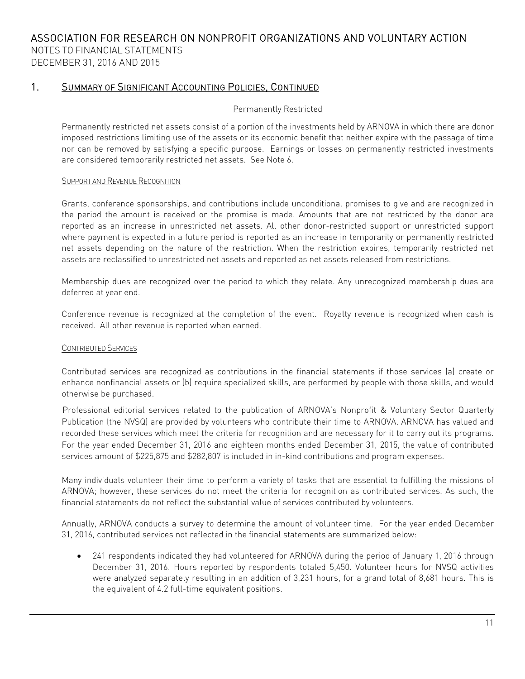#### Permanently Restricted

Permanently restricted net assets consist of a portion of the investments held by ARNOVA in which there are donor imposed restrictions limiting use of the assets or its economic benefit that neither expire with the passage of time nor can be removed by satisfying a specific purpose. Earnings or losses on permanently restricted investments are considered temporarily restricted net assets. See Note 6.

#### SUPPORT AND REVENUE RECOGNITION

Grants, conference sponsorships, and contributions include unconditional promises to give and are recognized in the period the amount is received or the promise is made. Amounts that are not restricted by the donor are reported as an increase in unrestricted net assets. All other donor-restricted support or unrestricted support where payment is expected in a future period is reported as an increase in temporarily or permanently restricted net assets depending on the nature of the restriction. When the restriction expires, temporarily restricted net assets are reclassified to unrestricted net assets and reported as net assets released from restrictions.

Membership dues are recognized over the period to which they relate. Any unrecognized membership dues are deferred at year end.

Conference revenue is recognized at the completion of the event. Royalty revenue is recognized when cash is received. All other revenue is reported when earned.

#### CONTRIBUTED SERVICES

Contributed services are recognized as contributions in the financial statements if those services (a) create or enhance nonfinancial assets or (b) require specialized skills, are performed by people with those skills, and would otherwise be purchased.

Professional editorial services related to the publication of ARNOVA's Nonprofit & Voluntary Sector Quarterly Publication (the NVSQ) are provided by volunteers who contribute their time to ARNOVA. ARNOVA has valued and recorded these services which meet the criteria for recognition and are necessary for it to carry out its programs. For the year ended December 31, 2016 and eighteen months ended December 31, 2015, the value of contributed services amount of \$225,875 and \$282,807 is included in in-kind contributions and program expenses.

Many individuals volunteer their time to perform a variety of tasks that are essential to fulfilling the missions of ARNOVA; however, these services do not meet the criteria for recognition as contributed services. As such, the financial statements do not reflect the substantial value of services contributed by volunteers.

Annually, ARNOVA conducts a survey to determine the amount of volunteer time. For the year ended December 31, 2016, contributed services not reflected in the financial statements are summarized below:

 241 respondents indicated they had volunteered for ARNOVA during the period of January 1, 2016 through December 31, 2016. Hours reported by respondents totaled 5,450. Volunteer hours for NVSQ activities were analyzed separately resulting in an addition of 3,231 hours, for a grand total of 8,681 hours. This is the equivalent of 4.2 full-time equivalent positions.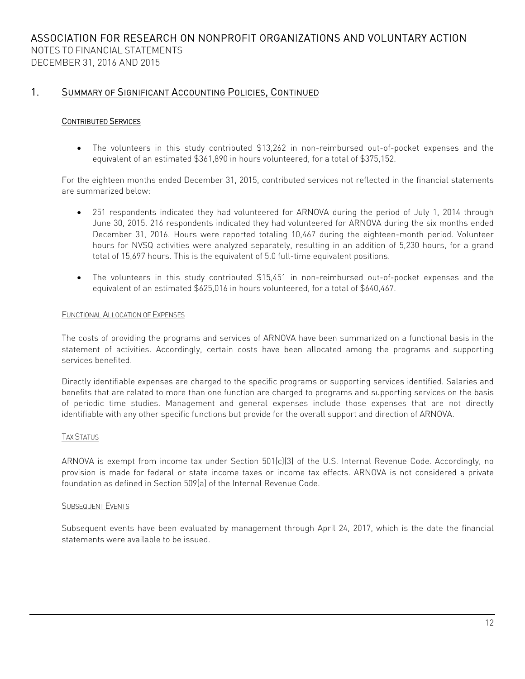#### CONTRIBUTED SERVICES

 The volunteers in this study contributed \$13,262 in non-reimbursed out-of-pocket expenses and the equivalent of an estimated \$361,890 in hours volunteered, for a total of \$375,152.

For the eighteen months ended December 31, 2015, contributed services not reflected in the financial statements are summarized below:

- 251 respondents indicated they had volunteered for ARNOVA during the period of July 1, 2014 through June 30, 2015. 216 respondents indicated they had volunteered for ARNOVA during the six months ended December 31, 2016. Hours were reported totaling 10,467 during the eighteen-month period. Volunteer hours for NVSQ activities were analyzed separately, resulting in an addition of 5,230 hours, for a grand total of 15,697 hours. This is the equivalent of 5.0 full-time equivalent positions.
- The volunteers in this study contributed \$15,451 in non-reimbursed out-of-pocket expenses and the equivalent of an estimated \$625,016 in hours volunteered, for a total of \$640,467.

#### FUNCTIONAL ALLOCATION OF EXPENSES

The costs of providing the programs and services of ARNOVA have been summarized on a functional basis in the statement of activities. Accordingly, certain costs have been allocated among the programs and supporting services benefited.

Directly identifiable expenses are charged to the specific programs or supporting services identified. Salaries and benefits that are related to more than one function are charged to programs and supporting services on the basis of periodic time studies. Management and general expenses include those expenses that are not directly identifiable with any other specific functions but provide for the overall support and direction of ARNOVA.

#### TAX STATUS

ARNOVA is exempt from income tax under Section 501(c)(3) of the U.S. Internal Revenue Code. Accordingly, no provision is made for federal or state income taxes or income tax effects. ARNOVA is not considered a private foundation as defined in Section 509(a) of the Internal Revenue Code.

#### SUBSEQUENT EVENTS

Subsequent events have been evaluated by management through April 24, 2017, which is the date the financial statements were available to be issued.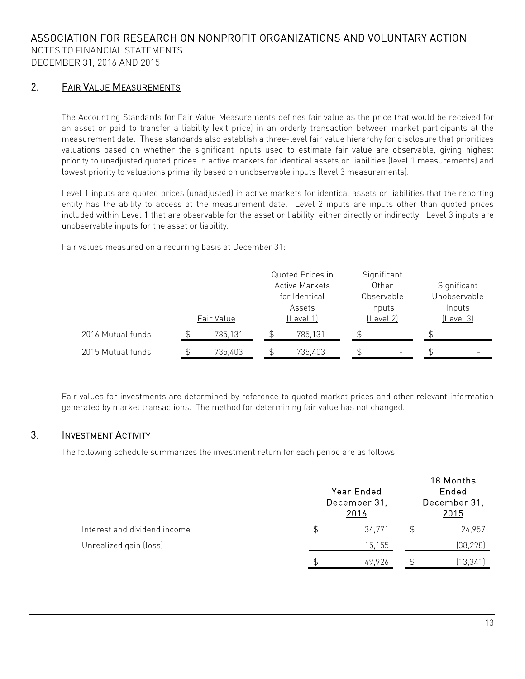NOTES TO FINANCIAL STATEMENTS

DECEMBER 31, 2016 AND 2015

### 2. FAIR VALUE MEASUREMENTS

The Accounting Standards for Fair Value Measurements defines fair value as the price that would be received for an asset or paid to transfer a liability (exit price) in an orderly transaction between market participants at the measurement date. These standards also establish a three-level fair value hierarchy for disclosure that prioritizes valuations based on whether the significant inputs used to estimate fair value are observable, giving highest priority to unadjusted quoted prices in active markets for identical assets or liabilities (level 1 measurements) and lowest priority to valuations primarily based on unobservable inputs (level 3 measurements).

Level 1 inputs are quoted prices (unadjusted) in active markets for identical assets or liabilities that the reporting entity has the ability to access at the measurement date. Level 2 inputs are inputs other than quoted prices included within Level 1 that are observable for the asset or liability, either directly or indirectly. Level 3 inputs are unobservable inputs for the asset or liability.

Fair values measured on a recurring basis at December 31:

|                   | Fair Value | Quoted Prices in<br><b>Active Markets</b><br>for Identical<br>Assets<br>(Level 1) |  | Significant<br>Other<br>Observable<br>Inputs<br>(Level 2) | Significant<br>Unobservable<br>Inputs<br>(Level 3) |  |  |
|-------------------|------------|-----------------------------------------------------------------------------------|--|-----------------------------------------------------------|----------------------------------------------------|--|--|
| 2016 Mutual funds | 785.131    | 785.131                                                                           |  | -                                                         |                                                    |  |  |
| 2015 Mutual funds | 735,403    | 735,403                                                                           |  | $\overline{\phantom{a}}$                                  | -                                                  |  |  |

Fair values for investments are determined by reference to quoted market prices and other relevant information generated by market transactions. The method for determining fair value has not changed.

### 3. **INVESTMENT ACTIVITY**

The following schedule summarizes the investment return for each period are as follows:

|                              | Year Ended<br>December 31,<br>2016 |   | 18 Months<br>Ended<br>December 31,<br>2015 |
|------------------------------|------------------------------------|---|--------------------------------------------|
| Interest and dividend income | \$<br>34,771                       | £ | 24,957                                     |
| Unrealized gain (loss)       | 15,155                             |   | (38, 298)                                  |
|                              | 49,926                             |   | (13, 341)                                  |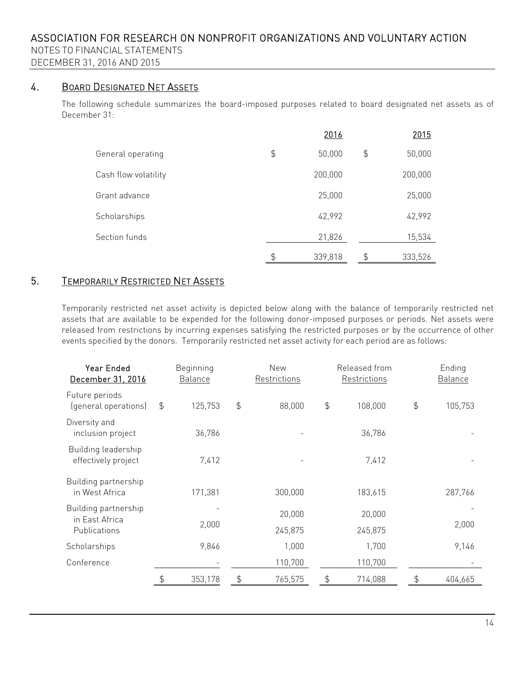DECEMBER 31, 2016 AND 2015

### 4. BOARD DESIGNATED NET ASSETS

The following schedule summarizes the board-imposed purposes related to board designated net assets as of December 31:

|                      | 2016          | 2015          |
|----------------------|---------------|---------------|
| General operating    | \$<br>50,000  | \$<br>50,000  |
| Cash flow volatility | 200,000       | 200,000       |
| Grant advance        | 25,000        | 25,000        |
| Scholarships         | 42,992        | 42,992        |
| Section funds        | 21,826        | 15,534        |
|                      | \$<br>339,818 | \$<br>333,526 |

### 5. TEMPORARILY RESTRICTED NET ASSETS

Temporarily restricted net asset activity is depicted below along with the balance of temporarily restricted net assets that are available to be expended for the following donor-imposed purposes or periods. Net assets were released from restrictions by incurring expenses satisfying the restricted purposes or by the occurrence of other events specified by the donors. Temporarily restricted net asset activity for each period are as follows:

| Year Ended<br>December 31, 2016            |               | Beginning<br><b>Balance</b> |               |         |               | New<br>Restrictions |               | Released from<br><b>Restrictions</b> |  | Ending<br><b>Balance</b> |
|--------------------------------------------|---------------|-----------------------------|---------------|---------|---------------|---------------------|---------------|--------------------------------------|--|--------------------------|
| Future periods<br>(general operations)     | $\frac{1}{2}$ | 125,753                     | $\frac{4}{5}$ | 88,000  | $\frac{4}{3}$ | 108,000             | $\frac{4}{5}$ | 105,753                              |  |                          |
| Diversity and<br>inclusion project         |               | 36,786                      |               |         |               | 36,786              |               |                                      |  |                          |
| Building leadership<br>effectively project |               | 7,412                       |               |         |               | 7,412               |               |                                      |  |                          |
| Building partnership<br>in West Africa     |               | 171,381                     |               | 300,000 |               | 183,615             |               | 287,766                              |  |                          |
| Building partnership<br>in East Africa     |               |                             |               | 20,000  |               | 20,000              |               |                                      |  |                          |
| Publications                               |               | 2,000                       |               | 245,875 |               | 245,875             |               | 2,000                                |  |                          |
| Scholarships                               |               | 9,846                       |               | 1,000   |               | 1,700               |               | 9,146                                |  |                          |
| Conference                                 |               |                             |               | 110,700 |               | 110,700             |               |                                      |  |                          |
|                                            |               | 353,178                     | \$            | 765,575 |               | 714,088             |               | 404,665                              |  |                          |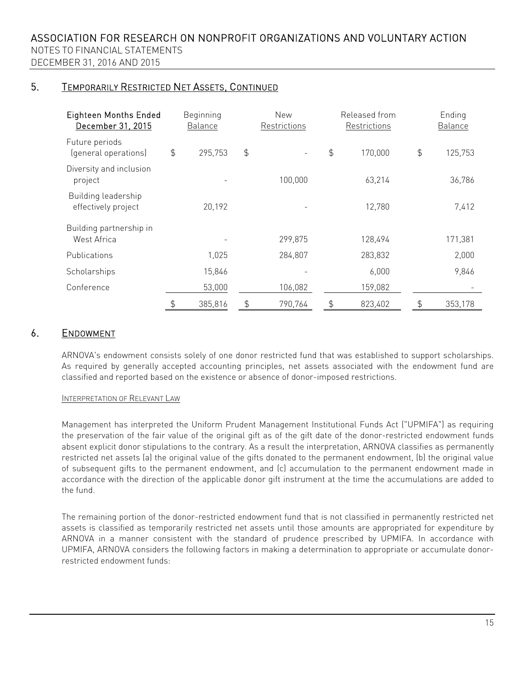### 5. TEMPORARILY RESTRICTED NET ASSETS, CONTINUED

| <b>Eighteen Months Ended</b><br>December 31, 2015 | Beginning<br>Balance | New<br>Restrictions |                          | Released from<br><u>Restrictions</u> |         |               | Ending<br><b>Balance</b> |
|---------------------------------------------------|----------------------|---------------------|--------------------------|--------------------------------------|---------|---------------|--------------------------|
| Future periods<br>(general operations)            | \$<br>295,753        | \$                  | $\overline{\phantom{a}}$ | $\frac{4}{5}$                        | 170,000 | $\frac{4}{5}$ | 125,753                  |
| Diversity and inclusion<br>project                |                      |                     | 100,000                  |                                      | 63,214  |               | 36,786                   |
| Building leadership<br>effectively project        | 20,192               |                     |                          |                                      | 12,780  |               | 7,412                    |
| Building partnership in<br>West Africa            |                      |                     | 299,875                  |                                      | 128,494 |               | 171,381                  |
| Publications                                      | 1,025                |                     | 284,807                  |                                      | 283,832 |               | 2,000                    |
| Scholarships                                      | 15,846               |                     |                          |                                      | 6,000   |               | 9,846                    |
| Conference                                        | 53,000               |                     | 106,082                  |                                      | 159,082 |               |                          |
|                                                   | \$<br>385,816        | \$                  | 790,764                  | \$                                   | 823,402 | \$            | 353,178                  |

### 6. ENDOWMENT

ARNOVA's endowment consists solely of one donor restricted fund that was established to support scholarships. As required by generally accepted accounting principles, net assets associated with the endowment fund are classified and reported based on the existence or absence of donor-imposed restrictions.

### INTERPRETATION OF RELEVANT LAW

Management has interpreted the Uniform Prudent Management Institutional Funds Act ("UPMIFA") as requiring the preservation of the fair value of the original gift as of the gift date of the donor-restricted endowment funds absent explicit donor stipulations to the contrary. As a result the interpretation, ARNOVA classifies as permanently restricted net assets (a) the original value of the gifts donated to the permanent endowment, (b) the original value of subsequent gifts to the permanent endowment, and (c) accumulation to the permanent endowment made in accordance with the direction of the applicable donor gift instrument at the time the accumulations are added to the fund.

The remaining portion of the donor-restricted endowment fund that is not classified in permanently restricted net assets is classified as temporarily restricted net assets until those amounts are appropriated for expenditure by ARNOVA in a manner consistent with the standard of prudence prescribed by UPMIFA. In accordance with UPMIFA, ARNOVA considers the following factors in making a determination to appropriate or accumulate donorrestricted endowment funds: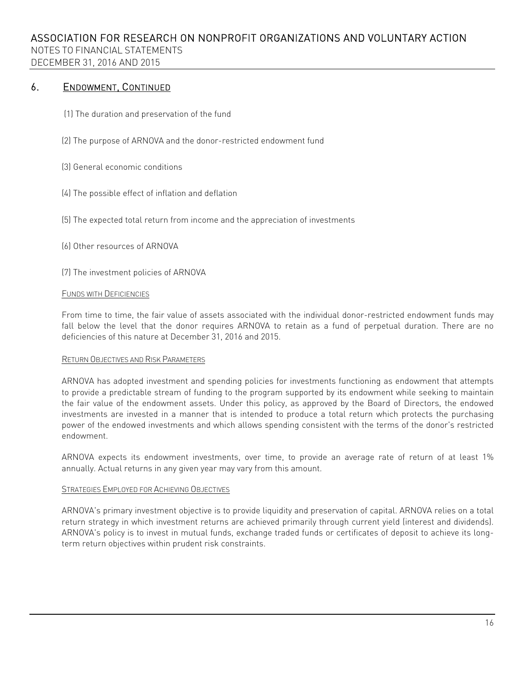### ASSOCIATION FOR RESEARCH ON NONPROFIT ORGANIZATIONS AND VOLUNTARY ACTION NOTES TO FINANCIAL STATEMENTS DECEMBER 31, 2016 AND 2015

### 6. ENDOWMENT, CONTINUED

- (1) The duration and preservation of the fund
- (2) The purpose of ARNOVA and the donor-restricted endowment fund
- (3) General economic conditions
- (4) The possible effect of inflation and deflation
- (5) The expected total return from income and the appreciation of investments
- (6) Other resources of ARNOVA
- (7) The investment policies of ARNOVA

#### FUNDS WITH DEFICIENCIES

From time to time, the fair value of assets associated with the individual donor-restricted endowment funds may fall below the level that the donor requires ARNOVA to retain as a fund of perpetual duration. There are no deficiencies of this nature at December 31, 2016 and 2015.

#### RETURN OBJECTIVES AND RISK PARAMETERS

ARNOVA has adopted investment and spending policies for investments functioning as endowment that attempts to provide a predictable stream of funding to the program supported by its endowment while seeking to maintain the fair value of the endowment assets. Under this policy, as approved by the Board of Directors, the endowed investments are invested in a manner that is intended to produce a total return which protects the purchasing power of the endowed investments and which allows spending consistent with the terms of the donor's restricted endowment.

ARNOVA expects its endowment investments, over time, to provide an average rate of return of at least 1% annually. Actual returns in any given year may vary from this amount.

#### STRATEGIES EMPLOYED FOR ACHIEVING OBJECTIVES

ARNOVA's primary investment objective is to provide liquidity and preservation of capital. ARNOVA relies on a total return strategy in which investment returns are achieved primarily through current yield (interest and dividends). ARNOVA's policy is to invest in mutual funds, exchange traded funds or certificates of deposit to achieve its longterm return objectives within prudent risk constraints.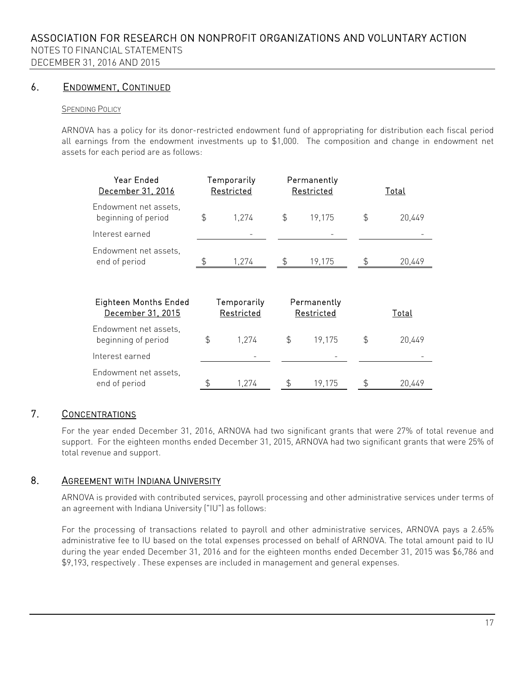NOTES TO FINANCIAL STATEMENTS DECEMBER 31, 2016 AND 2015

### 6. ENDOWMENT, CONTINUED

### SPENDING POLICY

ARNOVA has a policy for its donor-restricted endowment fund of appropriating for distribution each fiscal period all earnings from the endowment investments up to \$1,000. The composition and change in endowment net assets for each period are as follows:

| Year Ended<br>December 31, 2016                   |             | Temporarily<br>Permanently<br>Restricted<br>Restricted |               |                           | Total        |  |  |
|---------------------------------------------------|-------------|--------------------------------------------------------|---------------|---------------------------|--------------|--|--|
| Endowment net assets,<br>beginning of period      | \$<br>1,274 |                                                        | $\frac{1}{2}$ | 19,175                    | \$<br>20,449 |  |  |
| Interest earned                                   |             |                                                        |               |                           |              |  |  |
| Endowment net assets.<br>end of period            | \$          | 1,274                                                  | \$            | 19,175                    | \$<br>20,449 |  |  |
|                                                   |             |                                                        |               |                           |              |  |  |
| <b>Eighteen Months Ended</b><br>December 31, 2015 |             | Temporarily<br>Restricted                              |               | Permanently<br>Restricted | Total        |  |  |
| Endowment net assets.<br>beginning of period      | \$          | 1,274                                                  | \$            | 19,175                    | \$<br>20,449 |  |  |
| Interest earned                                   |             |                                                        |               |                           |              |  |  |
| Endowment net assets,                             |             |                                                        |               |                           |              |  |  |

end of period  $\qquad \qquad$  \$ 1,274  $\qquad \qquad$  \$ 19,175  $\qquad \qquad$  \$ 20,449

### 7. CONCENTRATIONS

For the year ended December 31, 2016, ARNOVA had two significant grants that were 27% of total revenue and support. For the eighteen months ended December 31, 2015, ARNOVA had two significant grants that were 25% of total revenue and support.

### 8. AGREEMENT WITH INDIANA UNIVERSITY

ARNOVA is provided with contributed services, payroll processing and other administrative services under terms of an agreement with Indiana University ("IU") as follows:

For the processing of transactions related to payroll and other administrative services, ARNOVA pays a 2.65% administrative fee to IU based on the total expenses processed on behalf of ARNOVA. The total amount paid to IU during the year ended December 31, 2016 and for the eighteen months ended December 31, 2015 was \$6,786 and \$9,193, respectively . These expenses are included in management and general expenses.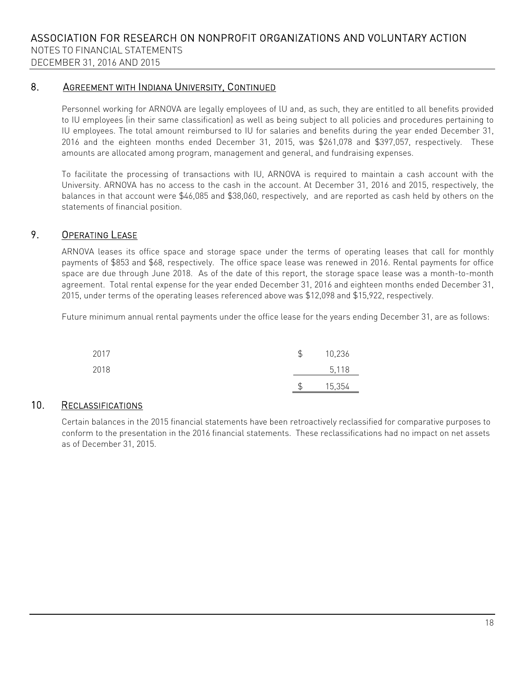### 8. AGREEMENT WITH INDIANA UNIVERSITY, CONTINUED

Personnel working for ARNOVA are legally employees of lU and, as such, they are entitled to all benefits provided to IU employees (in their same classification) as well as being subject to all policies and procedures pertaining to IU employees. The total amount reimbursed to IU for salaries and benefits during the year ended December 31, 2016 and the eighteen months ended December 31, 2015, was \$261,078 and \$397,057, respectively. These amounts are allocated among program, management and general, and fundraising expenses.

To facilitate the processing of transactions with IU, ARNOVA is required to maintain a cash account with the University. ARNOVA has no access to the cash in the account. At December 31, 2016 and 2015, respectively, the balances in that account were \$46,085 and \$38,060, respectively, and are reported as cash held by others on the statements of financial position.

### 9. OPERATING LEASE

ARNOVA leases its office space and storage space under the terms of operating leases that call for monthly payments of \$853 and \$68, respectively. The office space lease was renewed in 2016. Rental payments for office space are due through June 2018. As of the date of this report, the storage space lease was a month-to-month agreement. Total rental expense for the year ended December 31, 2016 and eighteen months ended December 31, 2015, under terms of the operating leases referenced above was \$12,098 and \$15,922, respectively.

Future minimum annual rental payments under the office lease for the years ending December 31, are as follows:

| 2017 | \$<br>10,236 |
|------|--------------|
| 2018 | 5,118        |
|      | \$<br>15,354 |

### 10. RECLASSIFICATIONS

Certain balances in the 2015 financial statements have been retroactively reclassified for comparative purposes to conform to the presentation in the 2016 financial statements. These reclassifications had no impact on net assets as of December 31, 2015.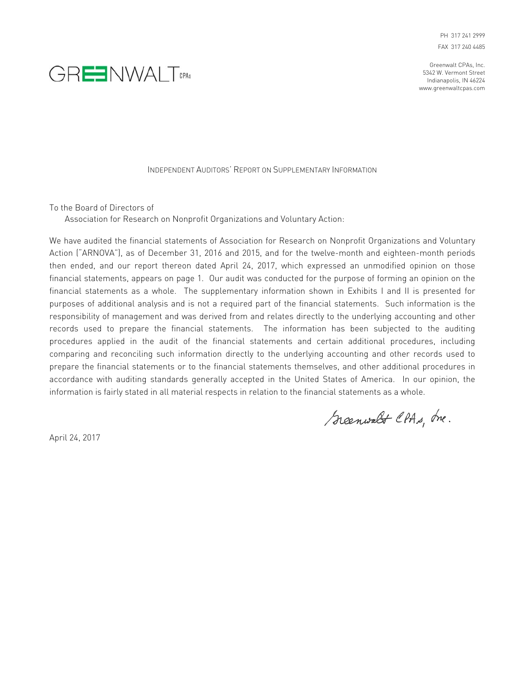PH 317 241 2999 FAX 317 240 4485

Greenwalt CPAs, Inc. 5342 W. Vermont Street Indianapolis, IN 46224 www.greenwaltcpas.com



INDEPENDENT AUDITORS' REPORT ON SUPPLEMENTARY INFORMATION

To the Board of Directors of

Association for Research on Nonprofit Organizations and Voluntary Action:

We have audited the financial statements of Association for Research on Nonprofit Organizations and Voluntary Action ("ARNOVA"), as of December 31, 2016 and 2015, and for the twelve-month and eighteen-month periods then ended, and our report thereon dated April 24, 2017, which expressed an unmodified opinion on those financial statements, appears on page 1. Our audit was conducted for the purpose of forming an opinion on the financial statements as a whole. The supplementary information shown in Exhibits I and II is presented for purposes of additional analysis and is not a required part of the financial statements. Such information is the responsibility of management and was derived from and relates directly to the underlying accounting and other records used to prepare the financial statements. The information has been subjected to the auditing procedures applied in the audit of the financial statements and certain additional procedures, including comparing and reconciling such information directly to the underlying accounting and other records used to prepare the financial statements or to the financial statements themselves, and other additional procedures in accordance with auditing standards generally accepted in the United States of America. In our opinion, the information is fairly stated in all material respects in relation to the financial statements as a whole.

Scenwalt CPAs, Ine.

April 24, 2017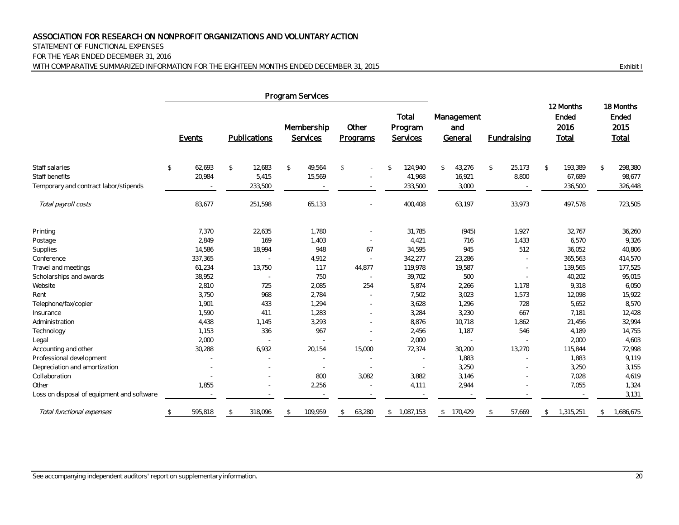STATEMENT OF FUNCTIONAL EXPENSES

FOR THE YEAR ENDED DECEMBER 31, 2016

WITH COMPARATIVE SUMMARIZED INFORMATION FOR THE EIGHTEEN MONTHS ENDED DECEMBER 31, 2015 **Exhibit I** 

|                                                         | Program Services |                      |                         |                   |                                     |                              |                    |                                     |                                            |
|---------------------------------------------------------|------------------|----------------------|-------------------------|-------------------|-------------------------------------|------------------------------|--------------------|-------------------------------------|--------------------------------------------|
|                                                         | <b>Events</b>    | Publications         | Membership<br>Services  | Other<br>Programs | Total<br>Program<br><b>Services</b> | Management<br>and<br>General | <b>Fundraising</b> | 12 Months<br>Ended<br>2016<br>Total | 18 Months<br>Ended<br>2015<br><b>Total</b> |
| Staff salaries                                          | 62,693<br>\$     | $\sqrt{2}$<br>12,683 | $\mathcal{L}$<br>49,564 | \$<br>$\equiv$    | \$<br>124,940                       | \$<br>43,276                 | \$<br>25,173       | $\sqrt{2}$<br>193,389               | \$<br>298,380                              |
| Staff benefits<br>Temporary and contract labor/stipends | 20,984<br>$\sim$ | 5,415<br>233,500     | 15,569                  |                   | 41,968<br>233,500                   | 16,921<br>3,000              | 8,800              | 67,689<br>236,500                   | 98,677<br>326,448                          |
| Total payroll costs                                     | 83,677           | 251,598              | 65,133                  |                   | 400,408                             | 63,197                       | 33,973             | 497,578                             | 723,505                                    |
| Printing                                                | 7,370            | 22,635               | 1,780                   |                   | 31,785                              | (945)                        | 1,927              | 32,767                              | 36,260                                     |
| Postage                                                 | 2,849            | 169                  | 1,403                   |                   | 4,421                               | 716                          | 1,433              | 6,570                               | 9,326                                      |
| Supplies                                                | 14,586           | 18,994               | 948                     | 67                | 34,595                              | 945                          | 512                | 36,052                              | 40,806                                     |
| Conference                                              | 337,365          |                      | 4,912                   |                   | 342,277                             | 23,286                       |                    | 365,563                             | 414,570                                    |
| Travel and meetings                                     | 61,234           | 13,750               | 117                     | 44,877            | 119,978                             | 19,587                       |                    | 139,565                             | 177,525                                    |
| Scholarships and awards                                 | 38,952           |                      | 750                     | ٠.                | 39,702                              | 500                          |                    | 40,202                              | 95,015                                     |
| Website                                                 | 2,810            | 725                  | 2,085                   | 254               | 5,874                               | 2,266                        | 1,178              | 9,318                               | 6,050                                      |
| Rent                                                    | 3,750            | 968                  | 2,784                   |                   | 7,502                               | 3,023                        | 1,573              | 12,098                              | 15,922                                     |
| Telephone/fax/copier                                    | 1,901            | 433                  | 1,294                   |                   | 3,628                               | 1,296                        | 728                | 5,652                               | 8,570                                      |
| Insurance                                               | 1,590            | 411                  | 1,283                   |                   | 3,284                               | 3,230                        | 667                | 7,181                               | 12,428                                     |
| Administration                                          | 4,438            | 1,145                | 3,293                   |                   | 8,876                               | 10,718                       | 1,862              | 21,456                              | 32,994                                     |
| Technology                                              | 1,153            | 336                  | 967                     |                   | 2,456                               | 1,187                        | 546                | 4,189                               | 14,755                                     |
| Legal                                                   | 2,000            |                      |                         |                   | 2,000                               |                              |                    | 2,000                               | 4,603                                      |
| Accounting and other                                    | 30,288           | 6,932                | 20,154                  | 15,000            | 72,374                              | 30,200                       | 13,270             | 115,844                             | 72,998                                     |
| Professional development                                |                  |                      |                         |                   |                                     | 1,883                        |                    | 1,883                               | 9,119                                      |
| Depreciation and amortization                           |                  |                      |                         |                   |                                     | 3,250                        |                    | 3,250                               | 3,155                                      |
| Collaboration                                           |                  |                      | 800                     | 3,082             | 3,882                               | 3,146                        |                    | 7,028                               | 4,619                                      |
| Other                                                   | 1,855            |                      | 2,256                   |                   | 4,111                               | 2,944                        |                    | 7,055                               | 1,324                                      |
| Loss on disposal of equipment and software              | $\sim$           |                      |                         |                   | $\sim$                              |                              |                    |                                     | 3,131                                      |
| Total functional expenses                               | 595,818<br>\$    | 318,096<br>-S        | 109,959<br>\$           | 63,280<br>\$      | 1,087,153<br>\$                     | 170,429<br>\$                | 57,669<br>\$       | 1,315,251<br>\$                     | 1,686,675<br>\$                            |